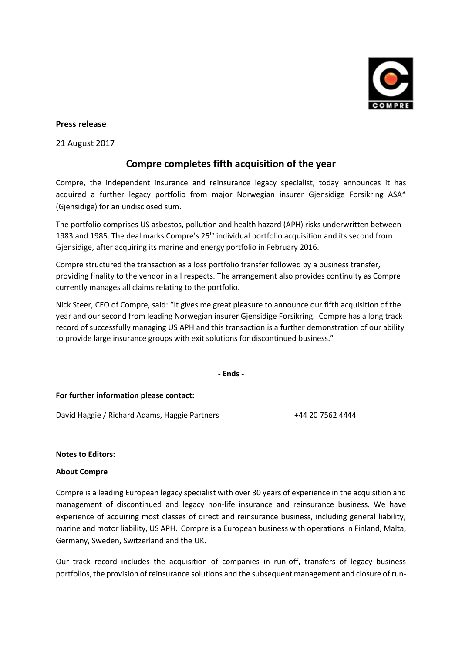

#### **Press release**

21 August 2017

# **Compre completes fifth acquisition of the year**

Compre, the independent insurance and reinsurance legacy specialist, today announces it has acquired a further legacy portfolio from major Norwegian insurer Gjensidige Forsikring ASA\* (Gjensidige) for an undisclosed sum.

The portfolio comprises US asbestos, pollution and health hazard (APH) risks underwritten between 1983 and 1985. The deal marks Compre's 25<sup>th</sup> individual portfolio acquisition and its second from Gjensidige, after acquiring its marine and energy portfolio in February 2016.

Compre structured the transaction as a loss portfolio transfer followed by a business transfer, providing finality to the vendor in all respects. The arrangement also provides continuity as Compre currently manages all claims relating to the portfolio.

Nick Steer, CEO of Compre, said: "It gives me great pleasure to announce our fifth acquisition of the year and our second from leading Norwegian insurer Gjensidige Forsikring. Compre has a long track record of successfully managing US APH and this transaction is a further demonstration of our ability to provide large insurance groups with exit solutions for discontinued business."

**- Ends -**

## **For further information please contact:**

David Haggie / Richard Adams, Haggie Partners +44 20 7562 4444

#### **Notes to Editors:**

#### **About Compre**

Compre is a leading European legacy specialist with over 30 years of experience in the acquisition and management of discontinued and legacy non-life insurance and reinsurance business. We have experience of acquiring most classes of direct and reinsurance business, including general liability, marine and motor liability, US APH. Compre is a European business with operations in Finland, Malta, Germany, Sweden, Switzerland and the UK.

Our track record includes the acquisition of companies in run-off, transfers of legacy business portfolios, the provision of reinsurance solutions and the subsequent management and closure of run